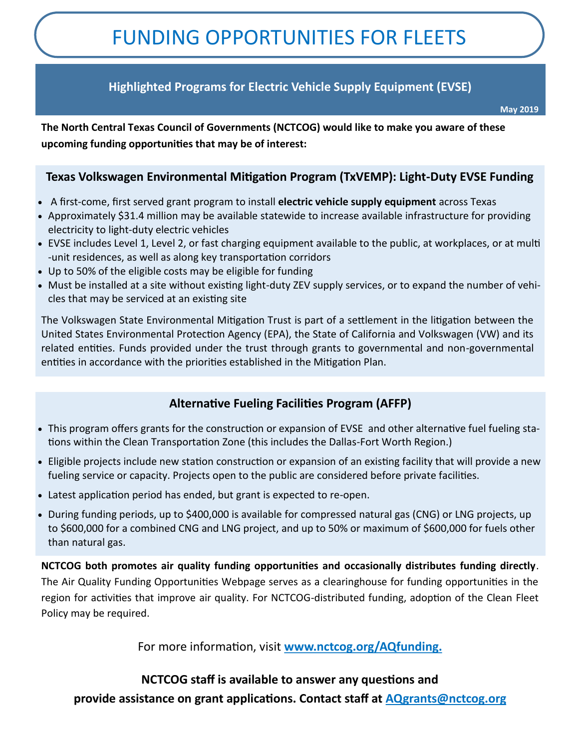# FUNDING OPPORTUNITIES FOR FLEETS

## **Highlighted Programs for Electric Vehicle Supply Equipment (EVSE)**

**May 2019**

**The North Central Texas Council of Governments (NCTCOG) would like to make you aware of these upcoming funding opportunities that may be of interest:**

## **Texas Volkswagen Environmental Mitigation Program (TxVEMP): Light-Duty EVSE Funding**

- A first-come, first served grant program to install **electric vehicle supply equipment** across Texas
- Approximately \$31.4 million may be available statewide to increase available infrastructure for providing electricity to light-duty electric vehicles
- EVSE includes Level 1, Level 2, or fast charging equipment available to the public, at workplaces, or at multi -unit residences, as well as along key transportation corridors
- Up to 50% of the eligible costs may be eligible for funding
- Must be installed at a site without existing light-duty ZEV supply services, or to expand the number of vehicles that may be serviced at an existing site

The Volkswagen State Environmental Mitigation Trust is part of a settlement in the litigation between the United States Environmental Protection Agency (EPA), the State of California and Volkswagen (VW) and its related entities. Funds provided under the trust through grants to governmental and non-governmental entities in accordance with the priorities established in the Mitigation Plan.

## **Alternative Fueling Facilities Program (AFFP)**

- This program offers grants for the construction or expansion of EVSE and other alternative fuel fueling stations within the Clean Transportation Zone (this includes the Dallas-Fort Worth Region.)
- Eligible projects include new station construction or expansion of an existing facility that will provide a new fueling service or capacity. Projects open to the public are considered before private facilities.
- Latest application period has ended, but grant is expected to re-open.
- During funding periods, up to \$400,000 is available for compressed natural gas (CNG) or LNG projects, up to \$600,000 for a combined CNG and LNG project, and up to 50% or maximum of \$600,000 for fuels other than natural gas.

**NCTCOG both promotes air quality funding opportunities and occasionally distributes funding directly**. The Air Quality Funding Opportunities Webpage serves as a clearinghouse for funding opportunities in the region for activities that improve air quality. For NCTCOG-distributed funding, adoption of the Clean Fleet Policy may be required.

For more information, visit **www.nctcog.org/AQfunding.**

## **NCTCOG staff is available to answer any questions and**

**provide assistance on grant applications. Contact staff at AQgrants@nctcog.org**